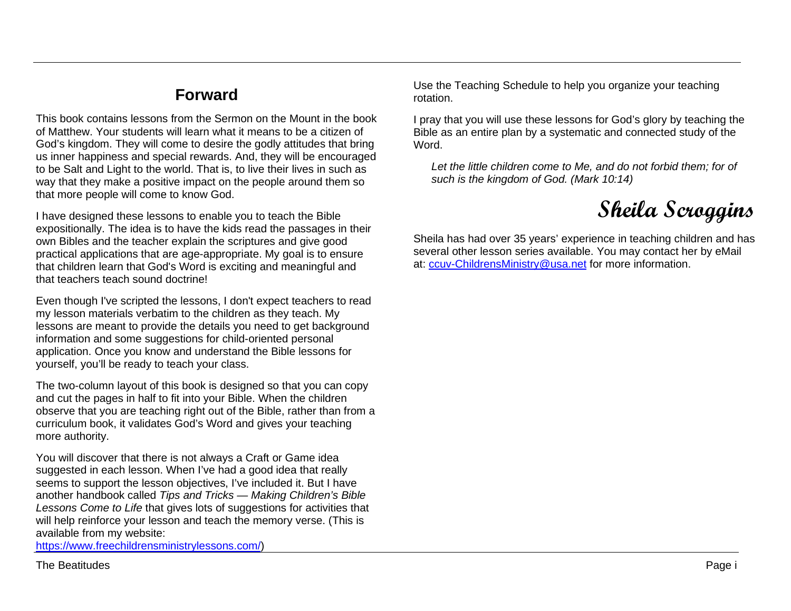## **Forward**

This book contains lessons from the Sermon on the Mount in the book of Matthew. Your students will learn what it means to be a citizen of God's kingdom. They will come to desire the godly attitudes that bring us inner happiness and special rewards. And, they will be encouraged to be Salt and Light to the world. That is, to live their lives in such as way that they make a positive impact on the people around them so that more people will come to know God.

I have designed these lessons to enable you to teach the Bible expositionally. The idea is to have the kids read the passages in their own Bibles and the teacher explain the scriptures and give good practical applications that are age-appropriate. My goal is to ensure that children learn that God's Word is exciting and meaningful and that teachers teach sound doctrine!

Even though I've scripted the lessons, I don't expect teachers to read my lesson materials verbatim to the children as they teach. My lessons are meant to provide the details you need to get background information and some suggestions for child-oriented personal application. Once you know and understand the Bible lessons for yourself, you'll be ready to teach your class.

The two-column layout of this book is designed so that you can copy and cut the pages in half to fit into your Bible. When the children observe that you are teaching right out of the Bible, rather than from a curriculum book, it validates God's Word and gives your teaching more authority.

You will discover that there is not always a Craft or Game idea suggested in each lesson. When I've had a good idea that really seems to support the lesson objectives, I've included it. But I have another handbook called *Tips and Tricks — Making Children's Bible Lessons Come to Life* that gives lots of suggestions for activities that will help reinforce your lesson and teach the memory verse. (This is available from my website:

[https://www.freechildrensministrylessons.com/\)](https://www.freechildrensministrylessons.com/)

The Beatitudes Page in the Second Contract of the Second Contract of the Second Contract of the Second Contract of the Page i

Use the Teaching Schedule to help you organize your teaching rotation.

I pray that you will use these lessons for God's glory by teaching the Bible as an entire plan by a systematic and connected study of the Word.

*Let the little children come to Me, and do not forbid them; for of such is the kingdom of God. (Mark 10:14)*



Sheila has had over 35 years' experience in teaching children and has several other lesson series available. You may contact her by eMail at: [ccuv-ChildrensMinistry@usa.net](mailto:ccuv-ChildrensMinistry@usa.net) for more information.